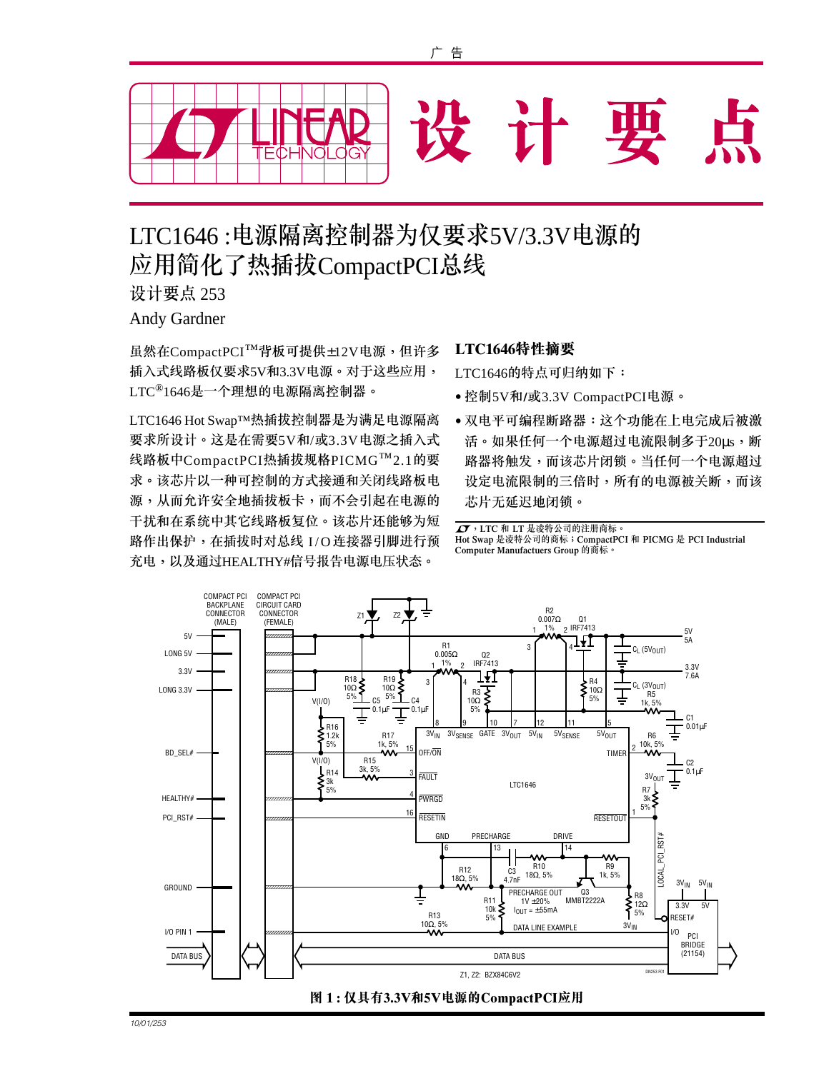

# LTC1646 :电源隔离控制器为仅要求5V/3.3V电源的 应用简化了热插拔CompactPCI总线

设计要点 253

Andy Gardner

虽然在CompactPCI™背板可提供±12V电源,但许多 插入式线路板仅要求5V和3.3V电源。对于这些应用,  $\mathop{\rm LTC}\nolimits^\circledR{1646}$ 是一个理想的电源隔离控制器。

LTC1646 Hot Swap™热插拔控制器是为满足电源隔离 要求所设计。这是在需要5V和/或3.3V电源之插入式 线路板中CompactPCI热插拔规格PICMG™2.1的要 求。该芯片以一种可控制的方式接通和关闭线路板电 源,从而允许安全地插拔板卡,而不会引起在电源的 干扰和在系统中其它线路板复位。该芯片还能够为短 路作出保护,在插拔时对总线 I/O 连接器引脚进行预 充电,以及通过HEALTHY#信号报告电源电压状态。

## LTC1646特性摘要

LTC1646的特点可归纳如下:

- •控制5V和/或3.3V CompactPCI电源。
- 双电平可编程断路器:这个功能在上电完成后被激 活。如果任何一个电源超过电流限制多于20μs,断 路器将触发,而该芯片闭锁。当任何一个电源超过 设定电流限制的三倍时,所有的电源被关断,而该 芯片无延迟地闭锁。

**△ア**, LTC 和 LT 是凌特公司的注册商标。 Hot Swap 是凌特公司的商标;CompactPCI 和 PICMG 是 PCI Industrial Computer Manufactuers Group 的商标。